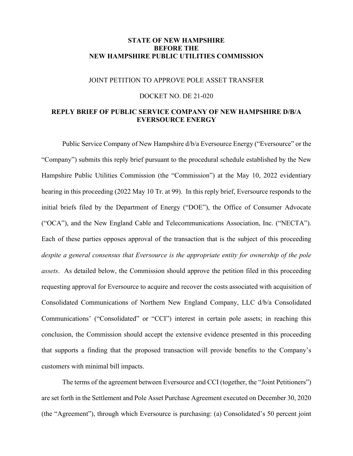## **STATE OF NEW HAMPSHIRE BEFORE THE NEW HAMPSHIRE PUBLIC UTILITIES COMMISSION**

#### JOINT PETITION TO APPROVE POLE ASSET TRANSFER

#### DOCKET NO. DE 21-020

## **REPLY BRIEF OF PUBLIC SERVICE COMPANY OF NEW HAMPSHIRE D/B/A EVERSOURCE ENERGY**

Public Service Company of New Hampshire d/b/a Eversource Energy ("Eversource" or the "Company") submits this reply brief pursuant to the procedural schedule established by the New Hampshire Public Utilities Commission (the "Commission") at the May 10, 2022 evidentiary hearing in this proceeding (2022 May 10 Tr. at 99). In this reply brief, Eversource responds to the initial briefs filed by the Department of Energy ("DOE"), the Office of Consumer Advocate ("OCA"), and the New England Cable and Telecommunications Association, Inc. ("NECTA"). Each of these parties opposes approval of the transaction that is the subject of this proceeding *despite a general consensus that Eversource is the appropriate entity for ownership of the pole assets*. As detailed below, the Commission should approve the petition filed in this proceeding requesting approval for Eversource to acquire and recover the costs associated with acquisition of Consolidated Communications of Northern New England Company, LLC d/b/a Consolidated Communications' ("Consolidated" or "CCI") interest in certain pole assets; in reaching this conclusion, the Commission should accept the extensive evidence presented in this proceeding that supports a finding that the proposed transaction will provide benefits to the Company's customers with minimal bill impacts.

The terms of the agreement between Eversource and CCI (together, the "Joint Petitioners") are set forth in the Settlement and Pole Asset Purchase Agreement executed on December 30, 2020 (the "Agreement"), through which Eversource is purchasing: (a) Consolidated's 50 percent joint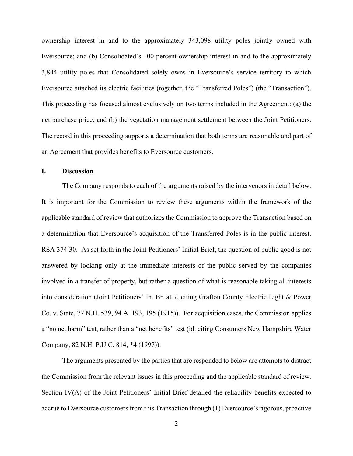ownership interest in and to the approximately 343,098 utility poles jointly owned with Eversource; and (b) Consolidated's 100 percent ownership interest in and to the approximately 3,844 utility poles that Consolidated solely owns in Eversource's service territory to which Eversource attached its electric facilities (together, the "Transferred Poles") (the "Transaction"). This proceeding has focused almost exclusively on two terms included in the Agreement: (a) the net purchase price; and (b) the vegetation management settlement between the Joint Petitioners. The record in this proceeding supports a determination that both terms are reasonable and part of an Agreement that provides benefits to Eversource customers.

## **I. Discussion**

The Company responds to each of the arguments raised by the intervenors in detail below. It is important for the Commission to review these arguments within the framework of the applicable standard of review that authorizes the Commission to approve the Transaction based on a determination that Eversource's acquisition of the Transferred Poles is in the public interest. RSA 374:30. As set forth in the Joint Petitioners' Initial Brief, the question of public good is not answered by looking only at the immediate interests of the public served by the companies involved in a transfer of property, but rather a question of what is reasonable taking all interests into consideration (Joint Petitioners' In. Br. at 7, citing Grafton County Electric Light & Power Co. v. State, 77 N.H. 539, 94 A. 193, 195 (1915)). For acquisition cases, the Commission applies a "no net harm" test, rather than a "net benefits" test (id. citing Consumers New Hampshire Water Company, 82 N.H. P.U.C. 814, \*4 (1997)).

The arguments presented by the parties that are responded to below are attempts to distract the Commission from the relevant issues in this proceeding and the applicable standard of review. Section IV(A) of the Joint Petitioners' Initial Brief detailed the reliability benefits expected to accrue to Eversource customers from this Transaction through (1) Eversource's rigorous, proactive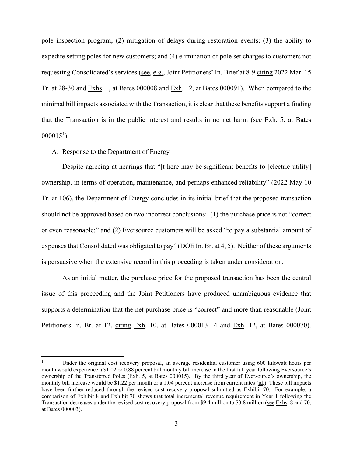pole inspection program; (2) mitigation of delays during restoration events; (3) the ability to expedite setting poles for new customers; and (4) elimination of pole set charges to customers not requesting Consolidated's services (see, e.g., Joint Petitioners' In. Brief at 8-9 citing 2022 Mar. 15 Tr. at 28-30 and Exhs. 1, at Bates 000008 and Exh. 12, at Bates 000091). When compared to the minimal bill impacts associated with the Transaction, it is clear that these benefits support a finding that the Transaction is in the public interest and results in no net harm (see  $Exh$ . 5, at Bates  $000015^1$  $000015^1$  $000015^1$ ).

#### A. Response to the Department of Energy

Despite agreeing at hearings that "[t]here may be significant benefits to [electric utility] ownership, in terms of operation, maintenance, and perhaps enhanced reliability" (2022 May 10 Tr. at 106), the Department of Energy concludes in its initial brief that the proposed transaction should not be approved based on two incorrect conclusions: (1) the purchase price is not "correct or even reasonable;" and (2) Eversource customers will be asked "to pay a substantial amount of expenses that Consolidated was obligated to pay" (DOE In. Br. at 4, 5). Neither of these arguments is persuasive when the extensive record in this proceeding is taken under consideration.

As an initial matter, the purchase price for the proposed transaction has been the central issue of this proceeding and the Joint Petitioners have produced unambiguous evidence that supports a determination that the net purchase price is "correct" and more than reasonable (Joint Petitioners In. Br. at 12, citing Exh. 10, at Bates 000013-14 and Exh. 12, at Bates 000070).

<span id="page-2-0"></span><sup>1</sup> Under the original cost recovery proposal, an average residential customer using 600 kilowatt hours per month would experience a \$1.02 or 0.88 percent bill monthly bill increase in the first full year following Eversource's ownership of the Transferred Poles (Exh. 5, at Bates 000015). By the third year of Eversource's ownership, the monthly bill increase would be \$1.22 per month or a 1.04 percent increase from current rates (id.). These bill impacts have been further reduced through the revised cost recovery proposal submitted as Exhibit 70. For example, a comparison of Exhibit 8 and Exhibit 70 shows that total incremental revenue requirement in Year 1 following the Transaction decreases under the revised cost recovery proposal from \$9.4 million to \$3.8 million (see Exhs. 8 and 70, at Bates 000003).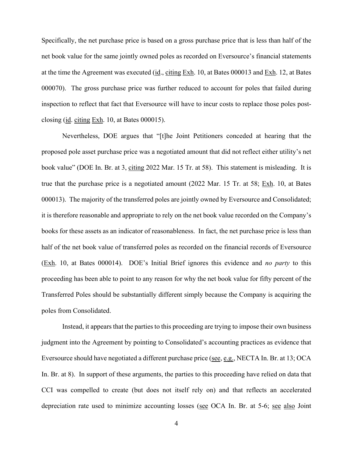Specifically, the net purchase price is based on a gross purchase price that is less than half of the net book value for the same jointly owned poles as recorded on Eversource's financial statements at the time the Agreement was executed (id., citing Exh. 10, at Bates 000013 and Exh. 12, at Bates 000070). The gross purchase price was further reduced to account for poles that failed during inspection to reflect that fact that Eversource will have to incur costs to replace those poles postclosing (id. citing Exh. 10, at Bates 000015).

Nevertheless, DOE argues that "[t]he Joint Petitioners conceded at hearing that the proposed pole asset purchase price was a negotiated amount that did not reflect either utility's net book value" (DOE In. Br. at 3, citing 2022 Mar. 15 Tr. at 58). This statement is misleading. It is true that the purchase price is a negotiated amount (2022 Mar. 15 Tr. at 58; Exh. 10, at Bates 000013). The majority of the transferred poles are jointly owned by Eversource and Consolidated; it is therefore reasonable and appropriate to rely on the net book value recorded on the Company's books for these assets as an indicator of reasonableness. In fact, the net purchase price is less than half of the net book value of transferred poles as recorded on the financial records of Eversource (Exh. 10, at Bates 000014). DOE's Initial Brief ignores this evidence and *no party* to this proceeding has been able to point to any reason for why the net book value for fifty percent of the Transferred Poles should be substantially different simply because the Company is acquiring the poles from Consolidated.

Instead, it appears that the parties to this proceeding are trying to impose their own business judgment into the Agreement by pointing to Consolidated's accounting practices as evidence that Eversource should have negotiated a different purchase price (see, e.g., NECTA In. Br. at 13; OCA In. Br. at 8). In support of these arguments, the parties to this proceeding have relied on data that CCI was compelled to create (but does not itself rely on) and that reflects an accelerated depreciation rate used to minimize accounting losses (see OCA In. Br. at 5-6; see also Joint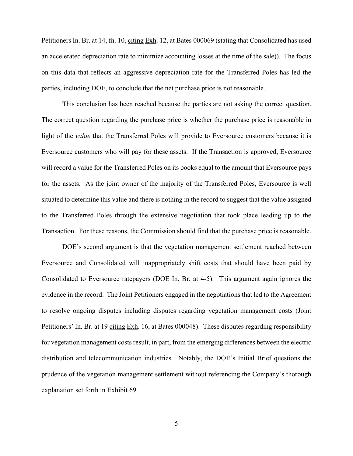Petitioners In. Br. at 14, fn. 10, citing Exh. 12, at Bates 000069 (stating that Consolidated has used an accelerated depreciation rate to minimize accounting losses at the time of the sale)). The focus on this data that reflects an aggressive depreciation rate for the Transferred Poles has led the parties, including DOE, to conclude that the net purchase price is not reasonable.

This conclusion has been reached because the parties are not asking the correct question. The correct question regarding the purchase price is whether the purchase price is reasonable in light of the *value* that the Transferred Poles will provide to Eversource customers because it is Eversource customers who will pay for these assets. If the Transaction is approved, Eversource will record a value for the Transferred Poles on its books equal to the amount that Eversource pays for the assets. As the joint owner of the majority of the Transferred Poles, Eversource is well situated to determine this value and there is nothing in the record to suggest that the value assigned to the Transferred Poles through the extensive negotiation that took place leading up to the Transaction. For these reasons, the Commission should find that the purchase price is reasonable.

DOE's second argument is that the vegetation management settlement reached between Eversource and Consolidated will inappropriately shift costs that should have been paid by Consolidated to Eversource ratepayers (DOE In. Br. at 4-5). This argument again ignores the evidence in the record. The Joint Petitioners engaged in the negotiations that led to the Agreement to resolve ongoing disputes including disputes regarding vegetation management costs (Joint Petitioners' In. Br. at 19 citing Exh. 16, at Bates 000048). These disputes regarding responsibility for vegetation management costs result, in part, from the emerging differences between the electric distribution and telecommunication industries. Notably, the DOE's Initial Brief questions the prudence of the vegetation management settlement without referencing the Company's thorough explanation set forth in Exhibit 69.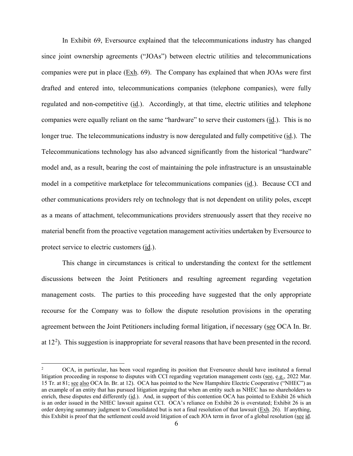In Exhibit 69, Eversource explained that the telecommunications industry has changed since joint ownership agreements ("JOAs") between electric utilities and telecommunications companies were put in place  $(Exh. 69)$ . The Company has explained that when JOAs were first drafted and entered into, telecommunications companies (telephone companies), were fully regulated and non-competitive (id.). Accordingly, at that time, electric utilities and telephone companies were equally reliant on the same "hardware" to serve their customers (id.). This is no longer true. The telecommunications industry is now deregulated and fully competitive (id.). The Telecommunications technology has also advanced significantly from the historical "hardware" model and, as a result, bearing the cost of maintaining the pole infrastructure is an unsustainable model in a competitive marketplace for telecommunications companies (id.). Because CCI and other communications providers rely on technology that is not dependent on utility poles, except as a means of attachment, telecommunications providers strenuously assert that they receive no material benefit from the proactive vegetation management activities undertaken by Eversource to protect service to electric customers (id.).

This change in circumstances is critical to understanding the context for the settlement discussions between the Joint Petitioners and resulting agreement regarding vegetation management costs. The parties to this proceeding have suggested that the only appropriate recourse for the Company was to follow the dispute resolution provisions in the operating agreement between the Joint Petitioners including formal litigation, if necessary (see OCA In. Br. at  $12<sup>2</sup>$  $12<sup>2</sup>$  $12<sup>2</sup>$ ). This suggestion is inappropriate for several reasons that have been presented in the record.

<span id="page-5-0"></span><sup>2</sup> OCA, in particular, has been vocal regarding its position that Eversource should have instituted a formal litigation proceeding in response to disputes with CCI regarding vegetation management costs (see, e.g., 2022 Mar. 15 Tr. at 81; see also OCA In. Br. at 12). OCA has pointed to the New Hampshire Electric Cooperative ("NHEC") as an example of an entity that has pursued litigation arguing that when an entity such as NHEC has no shareholders to enrich, these disputes end differently (id.). And, in support of this contention OCA has pointed to Exhibit 26 which is an order issued in the NHEC lawsuit against CCI. OCA's reliance on Exhibit 26 is overstated; Exhibit 26 is an order denying summary judgment to Consolidated but is not a final resolution of that lawsuit ( $Exh$ . 26). If anything, this Exhibit is proof that the settlement could avoid litigation of each JOA term in favor of a global resolution (see id.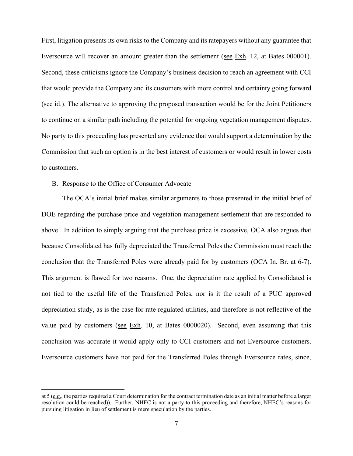First, litigation presents its own risks to the Company and its ratepayers without any guarantee that Eversource will recover an amount greater than the settlement (see Exh. 12, at Bates 000001). Second, these criticisms ignore the Company's business decision to reach an agreement with CCI that would provide the Company and its customers with more control and certainty going forward (see id.). The alternative to approving the proposed transaction would be for the Joint Petitioners to continue on a similar path including the potential for ongoing vegetation management disputes. No party to this proceeding has presented any evidence that would support a determination by the Commission that such an option is in the best interest of customers or would result in lower costs to customers.

#### B. Response to the Office of Consumer Advocate

The OCA's initial brief makes similar arguments to those presented in the initial brief of DOE regarding the purchase price and vegetation management settlement that are responded to above. In addition to simply arguing that the purchase price is excessive, OCA also argues that because Consolidated has fully depreciated the Transferred Poles the Commission must reach the conclusion that the Transferred Poles were already paid for by customers (OCA In. Br. at 6-7). This argument is flawed for two reasons. One, the depreciation rate applied by Consolidated is not tied to the useful life of the Transferred Poles, nor is it the result of a PUC approved depreciation study, as is the case for rate regulated utilities, and therefore is not reflective of the value paid by customers (see  $Exh$ . 10, at Bates 0000020). Second, even assuming that this conclusion was accurate it would apply only to CCI customers and not Eversource customers. Eversource customers have not paid for the Transferred Poles through Eversource rates, since,

at 5 (e.g., the parties required a Court determination for the contract termination date as an initial matter before a larger resolution could be reached)). Further, NHEC is not a party to this proceeding and therefore, NHEC's reasons for pursuing litigation in lieu of settlement is mere speculation by the parties.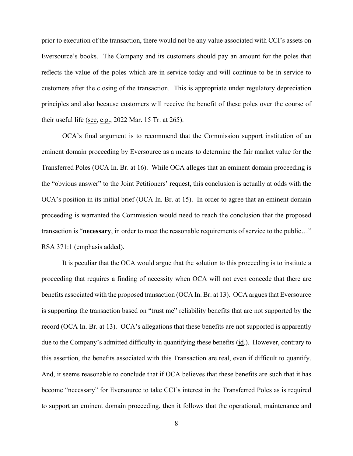prior to execution of the transaction, there would not be any value associated with CCI's assets on Eversource's books. The Company and its customers should pay an amount for the poles that reflects the value of the poles which are in service today and will continue to be in service to customers after the closing of the transaction. This is appropriate under regulatory depreciation principles and also because customers will receive the benefit of these poles over the course of their useful life (see, e.g., 2022 Mar. 15 Tr. at 265).

OCA's final argument is to recommend that the Commission support institution of an eminent domain proceeding by Eversource as a means to determine the fair market value for the Transferred Poles (OCA In. Br. at 16). While OCA alleges that an eminent domain proceeding is the "obvious answer" to the Joint Petitioners' request, this conclusion is actually at odds with the OCA's position in its initial brief (OCA In. Br. at 15). In order to agree that an eminent domain proceeding is warranted the Commission would need to reach the conclusion that the proposed transaction is "**necessary**, in order to meet the reasonable requirements of service to the public…" RSA 371:1 (emphasis added).

It is peculiar that the OCA would argue that the solution to this proceeding is to institute a proceeding that requires a finding of necessity when OCA will not even concede that there are benefits associated with the proposed transaction (OCA In. Br. at 13). OCA argues that Eversource is supporting the transaction based on "trust me" reliability benefits that are not supported by the record (OCA In. Br. at 13). OCA's allegations that these benefits are not supported is apparently due to the Company's admitted difficulty in quantifying these benefits (id.). However, contrary to this assertion, the benefits associated with this Transaction are real, even if difficult to quantify. And, it seems reasonable to conclude that if OCA believes that these benefits are such that it has become "necessary" for Eversource to take CCI's interest in the Transferred Poles as is required to support an eminent domain proceeding, then it follows that the operational, maintenance and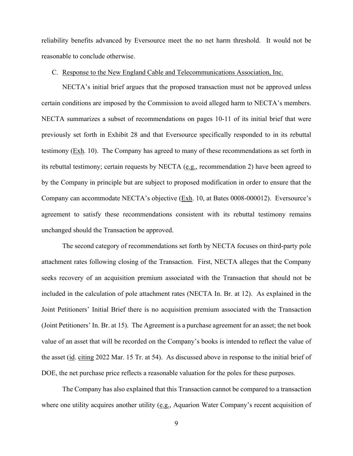reliability benefits advanced by Eversource meet the no net harm threshold. It would not be reasonable to conclude otherwise.

#### C. Response to the New England Cable and Telecommunications Association, Inc.

NECTA's initial brief argues that the proposed transaction must not be approved unless certain conditions are imposed by the Commission to avoid alleged harm to NECTA's members. NECTA summarizes a subset of recommendations on pages 10-11 of its initial brief that were previously set forth in Exhibit 28 and that Eversource specifically responded to in its rebuttal testimony  $(Exh. 10)$ . The Company has agreed to many of these recommendations as set forth in its rebuttal testimony; certain requests by NECTA (e.g., recommendation 2) have been agreed to by the Company in principle but are subject to proposed modification in order to ensure that the Company can accommodate NECTA's objective (Exh. 10, at Bates 0008-000012). Eversource's agreement to satisfy these recommendations consistent with its rebuttal testimony remains unchanged should the Transaction be approved.

The second category of recommendations set forth by NECTA focuses on third-party pole attachment rates following closing of the Transaction. First, NECTA alleges that the Company seeks recovery of an acquisition premium associated with the Transaction that should not be included in the calculation of pole attachment rates (NECTA In. Br. at 12). As explained in the Joint Petitioners' Initial Brief there is no acquisition premium associated with the Transaction (Joint Petitioners' In. Br. at 15). The Agreement is a purchase agreement for an asset; the net book value of an asset that will be recorded on the Company's books is intended to reflect the value of the asset (id. citing 2022 Mar. 15 Tr. at 54). As discussed above in response to the initial brief of DOE, the net purchase price reflects a reasonable valuation for the poles for these purposes.

The Company has also explained that this Transaction cannot be compared to a transaction where one utility acquires another utility (e.g., Aquarion Water Company's recent acquisition of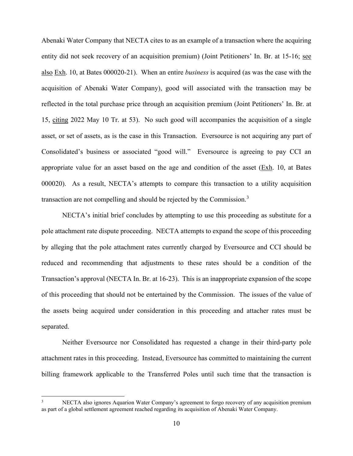Abenaki Water Company that NECTA cites to as an example of a transaction where the acquiring entity did not seek recovery of an acquisition premium) (Joint Petitioners' In. Br. at 15-16; see also Exh. 10, at Bates 000020-21). When an entire *business* is acquired (as was the case with the acquisition of Abenaki Water Company), good will associated with the transaction may be reflected in the total purchase price through an acquisition premium (Joint Petitioners' In. Br. at 15, citing 2022 May 10 Tr. at 53). No such good will accompanies the acquisition of a single asset, or set of assets, as is the case in this Transaction. Eversource is not acquiring any part of Consolidated's business or associated "good will." Eversource is agreeing to pay CCI an appropriate value for an asset based on the age and condition of the asset (Exh. 10, at Bates 000020). As a result, NECTA's attempts to compare this transaction to a utility acquisition transaction are not compelling and should be rejected by the Commission. $3$ 

NECTA's initial brief concludes by attempting to use this proceeding as substitute for a pole attachment rate dispute proceeding. NECTA attempts to expand the scope of this proceeding by alleging that the pole attachment rates currently charged by Eversource and CCI should be reduced and recommending that adjustments to these rates should be a condition of the Transaction's approval (NECTA In. Br. at 16-23). This is an inappropriate expansion of the scope of this proceeding that should not be entertained by the Commission. The issues of the value of the assets being acquired under consideration in this proceeding and attacher rates must be separated.

Neither Eversource nor Consolidated has requested a change in their third-party pole attachment rates in this proceeding. Instead, Eversource has committed to maintaining the current billing framework applicable to the Transferred Poles until such time that the transaction is

<span id="page-9-0"></span><sup>3</sup> NECTA also ignores Aquarion Water Company's agreement to forgo recovery of any acquisition premium as part of a global settlement agreement reached regarding its acquisition of Abenaki Water Company.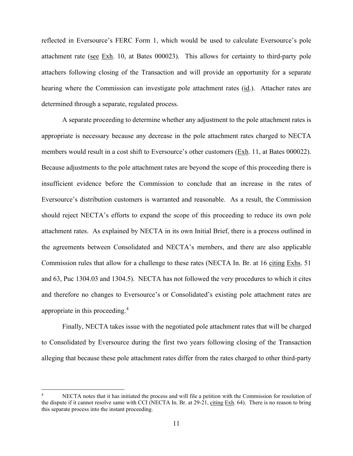reflected in Eversource's FERC Form 1, which would be used to calculate Eversource's pole attachment rate (see  $Exh$ . 10, at Bates 000023). This allows for certainty to third-party pole attachers following closing of the Transaction and will provide an opportunity for a separate hearing where the Commission can investigate pole attachment rates (id.). Attacher rates are determined through a separate, regulated process.

A separate proceeding to determine whether any adjustment to the pole attachment rates is appropriate is necessary because any decrease in the pole attachment rates charged to NECTA members would result in a cost shift to Eversource's other customers (Exh. 11, at Bates 000022). Because adjustments to the pole attachment rates are beyond the scope of this proceeding there is insufficient evidence before the Commission to conclude that an increase in the rates of Eversource's distribution customers is warranted and reasonable. As a result, the Commission should reject NECTA's efforts to expand the scope of this proceeding to reduce its own pole attachment rates. As explained by NECTA in its own Initial Brief, there is a process outlined in the agreements between Consolidated and NECTA's members, and there are also applicable Commission rules that allow for a challenge to these rates (NECTA In. Br. at 16 citing Exhs. 51 and 63, Puc 1304.03 and 1304.5). NECTA has not followed the very procedures to which it cites and therefore no changes to Eversource's or Consolidated's existing pole attachment rates are appropriate in this proceeding.<sup>[4](#page-10-0)</sup>

Finally, NECTA takes issue with the negotiated pole attachment rates that will be charged to Consolidated by Eversource during the first two years following closing of the Transaction alleging that because these pole attachment rates differ from the rates charged to other third-party

<span id="page-10-0"></span><sup>4</sup> NECTA notes that it has initiated the process and will file a petition with the Commission for resolution of the dispute if it cannot resolve same with CCI (NECTA In. Br. at 29-21, citing Exh. 64). There is no reason to bring this separate process into the instant proceeding.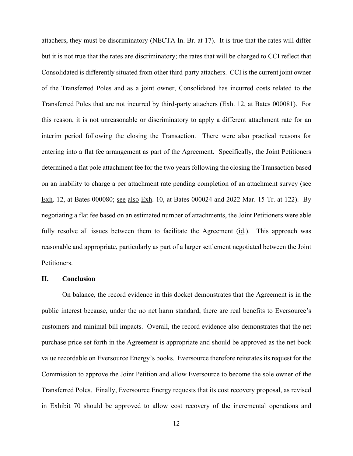attachers, they must be discriminatory (NECTA In. Br. at 17). It is true that the rates will differ but it is not true that the rates are discriminatory; the rates that will be charged to CCI reflect that Consolidated is differently situated from other third-party attachers. CCI is the current joint owner of the Transferred Poles and as a joint owner, Consolidated has incurred costs related to the Transferred Poles that are not incurred by third-party attachers (Exh. 12, at Bates 000081). For this reason, it is not unreasonable or discriminatory to apply a different attachment rate for an interim period following the closing the Transaction. There were also practical reasons for entering into a flat fee arrangement as part of the Agreement. Specifically, the Joint Petitioners determined a flat pole attachment fee for the two years following the closing the Transaction based on an inability to charge a per attachment rate pending completion of an attachment survey (see Exh. 12, at Bates 000080; see also Exh. 10, at Bates 000024 and 2022 Mar. 15 Tr. at 122). By negotiating a flat fee based on an estimated number of attachments, the Joint Petitioners were able fully resolve all issues between them to facilitate the Agreement (id.). This approach was reasonable and appropriate, particularly as part of a larger settlement negotiated between the Joint Petitioners.

#### **II. Conclusion**

On balance, the record evidence in this docket demonstrates that the Agreement is in the public interest because, under the no net harm standard, there are real benefits to Eversource's customers and minimal bill impacts. Overall, the record evidence also demonstrates that the net purchase price set forth in the Agreement is appropriate and should be approved as the net book value recordable on Eversource Energy's books. Eversource therefore reiterates its request for the Commission to approve the Joint Petition and allow Eversource to become the sole owner of the Transferred Poles. Finally, Eversource Energy requests that its cost recovery proposal, as revised in Exhibit 70 should be approved to allow cost recovery of the incremental operations and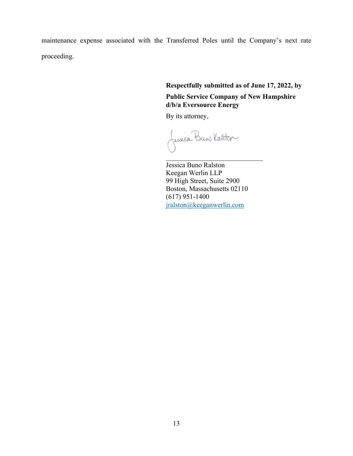maintenance expense associated with the Transferred Poles until the Company's next rate proceeding.

> **Respectfully submitted as of June 17, 2022, by Public Service Company of New Hampshire d/b/a Eversource Energy**

By its attorney,

fession Buns Katter

 Jessica Buno Ralston Keegan Werlin LLP 99 High Street, Suite 2900 Boston, Massachusetts 02110 (617) 951-1400 [jralston@keeganwerlin.com](mailto:jralston@keeganwerlin.com)

 $\overline{\phantom{a}}$